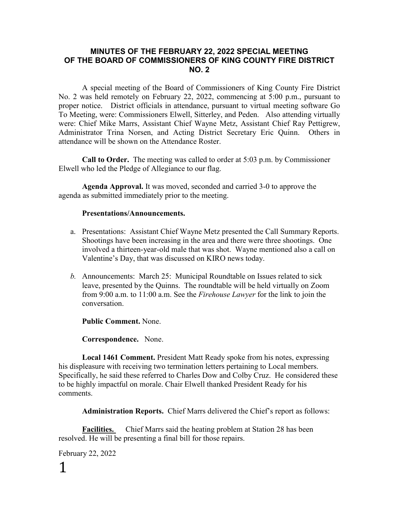#### **MINUTES OF THE FEBRUARY 22, 2022 SPECIAL MEETING OF THE BOARD OF COMMISSIONERS OF KING COUNTY FIRE DISTRICT NO. 2**

A special meeting of the Board of Commissioners of King County Fire District No. 2 was held remotely on February 22, 2022, commencing at 5:00 p.m., pursuant to proper notice. District officials in attendance, pursuant to virtual meeting software Go To Meeting, were: Commissioners Elwell, Sitterley, and Peden. Also attending virtually were: Chief Mike Marrs, Assistant Chief Wayne Metz, Assistant Chief Ray Pettigrew, Administrator Trina Norsen, and Acting District Secretary Eric Quinn. Others in attendance will be shown on the Attendance Roster.

**Call to Order.** The meeting was called to order at 5:03 p.m. by Commissioner Elwell who led the Pledge of Allegiance to our flag.

**Agenda Approval.** It was moved, seconded and carried 3-0 to approve the agenda as submitted immediately prior to the meeting.

#### **Presentations/Announcements.**

- a. Presentations: Assistant Chief Wayne Metz presented the Call Summary Reports. Shootings have been increasing in the area and there were three shootings. One involved a thirteen-year-old male that was shot. Wayne mentioned also a call on Valentine's Day, that was discussed on KIRO news today.
- *b.* Announcements: March 25: Municipal Roundtable on Issues related to sick leave, presented by the Quinns. The roundtable will be held virtually on Zoom from 9:00 a.m. to 11:00 a.m. See the *Firehouse Lawyer* for the link to join the conversation.

**Public Comment.** None.

**Correspondence.** None.

**Local 1461 Comment.** President Matt Ready spoke from his notes, expressing his displeasure with receiving two termination letters pertaining to Local members. Specifically, he said these referred to Charles Dow and Colby Cruz. He considered these to be highly impactful on morale. Chair Elwell thanked President Ready for his comments.

**Administration Reports.** Chief Marrs delivered the Chief's report as follows:

**Facilities.** Chief Marrs said the heating problem at Station 28 has been resolved. He will be presenting a final bill for those repairs.

February 22, 2022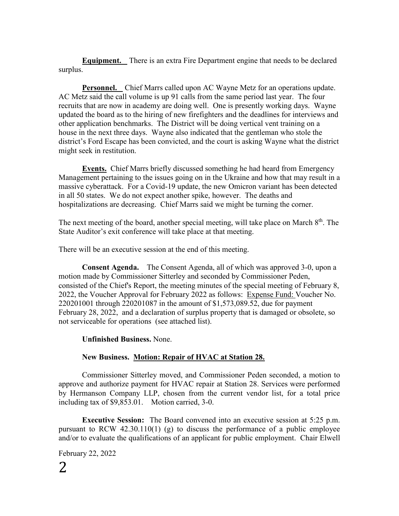**Equipment.** There is an extra Fire Department engine that needs to be declared surplus.

**Personnel.** Chief Marrs called upon AC Wayne Metz for an operations update. AC Metz said the call volume is up 91 calls from the same period last year. The four recruits that are now in academy are doing well. One is presently working days. Wayne updated the board as to the hiring of new firefighters and the deadlines for interviews and other application benchmarks. The District will be doing vertical vent training on a house in the next three days. Wayne also indicated that the gentleman who stole the district's Ford Escape has been convicted, and the court is asking Wayne what the district might seek in restitution.

**Events.** Chief Marrs briefly discussed something he had heard from Emergency Management pertaining to the issues going on in the Ukraine and how that may result in a massive cyberattack. For a Covid-19 update, the new Omicron variant has been detected in all 50 states. We do not expect another spike, however. The deaths and hospitalizations are decreasing. Chief Marrs said we might be turning the corner.

The next meeting of the board, another special meeting, will take place on March  $8<sup>th</sup>$ . The State Auditor's exit conference will take place at that meeting.

There will be an executive session at the end of this meeting.

**Consent Agenda.** The Consent Agenda, all of which was approved 3-0, upon a motion made by Commissioner Sitterley and seconded by Commissioner Peden, consisted of the Chief's Report, the meeting minutes of the special meeting of February 8, 2022, the Voucher Approval for February 2022 as follows: Expense Fund: Voucher No. 220201001 through 220201087 in the amount of \$1,573,089.52, due for payment February 28, 2022, and a declaration of surplus property that is damaged or obsolete, so not serviceable for operations (see attached list).

**Unfinished Business.** None.

### **New Business. Motion: Repair of HVAC at Station 28.**

Commissioner Sitterley moved, and Commissioner Peden seconded, a motion to approve and authorize payment for HVAC repair at Station 28. Services were performed by Hermanson Company LLP, chosen from the current vendor list, for a total price including tax of \$9,853.01. Motion carried, 3-0.

**Executive Session:** The Board convened into an executive session at 5:25 p.m. pursuant to RCW 42.30.110(1) (g) to discuss the performance of a public employee and/or to evaluate the qualifications of an applicant for public employment. Chair Elwell

February 22, 2022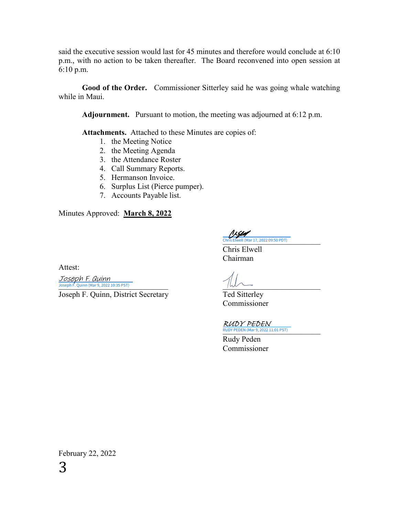said the executive session would last for 45 minutes and therefore would conclude at 6:10 p.m., with no action to be taken thereafter. The Board reconvened into open session at 6:10 p.m.

**Good of the Order.** Commissioner Sitterley said he was going whale watching while in Maui.

**Adjournment.** Pursuant to motion, the meeting was adjourned at 6:12 p.m.

**Attachments.** Attached to these Minutes are copies of:

- 1. the Meeting Notice
- 2. the Meeting Agenda
- 3. the Attendance Roster
- 4. Call Summary Reports.
- 5. Hermanson Invoice.
- 6. Surplus List (Pierce pumper).
- 7. Accounts Payable list.

Minutes Approved: **March 8, 2022**

Attest:

 $\frac{Joseph F. \;Quinn}{\sim}$ 

Joseph F. Quinn, District Secretary Ted Sitterley

1 x gan [\\_\\_\\_\\_\\_\\_\\_\\_\\_\\_\\_\\_\\_\\_\\_\\_\\_\\_\\_\\_\\_\\_\\_\\_\\_](https://na4.documents.adobe.com/verifier?tx=CBJCHBCAABAA05zhqDucMrfeO8JAfcIS0hkh6jv7RRgK) Chris Elwell (Mar 17, 2022 09:50 PDT)

Chris Elwell Chairman

Commissioner

RUDY PEDEN (Mar 9, 2022 11:01 PST) RUDY PEDEN

Rudy Peden Commissioner

February 22, 2022 3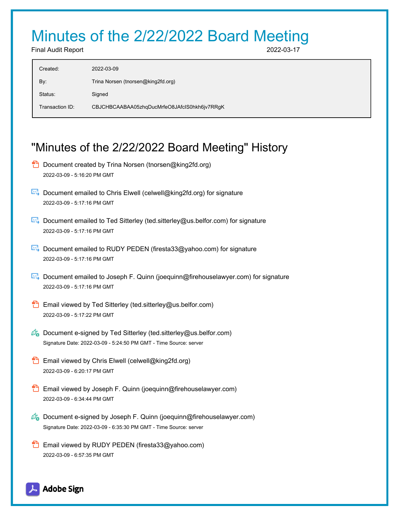# Minutes of the 2/22/2022 Board Meeting

Final Audit Report 2022-03-17

| 2022-03-09                                   |
|----------------------------------------------|
| Trina Norsen (tnorsen@king2fd.org)           |
| Signed                                       |
| CBJCHBCAABAA05zhqDucMrfeO8JAfcIS0hkh6jv7RRgK |
|                                              |

## "Minutes of the 2/22/2022 Board Meeting" History

- **D** Document created by Trina Norsen (tnorsen@king2fd.org) 2022-03-09 - 5:16:20 PM GMT
- $\boxtimes$  Document emailed to Chris Elwell (celwell@king2fd.org) for signature 2022-03-09 - 5:17:16 PM GMT
- Document emailed to Ted Sitterley (ted.sitterley@us.belfor.com) for signature 2022-03-09 - 5:17:16 PM GMT
- $\boxtimes$  Document emailed to RUDY PEDEN (firesta33@yahoo.com) for signature 2022-03-09 - 5:17:16 PM GMT
- Document emailed to Joseph F. Quinn (joequinn@firehouselawyer.com) for signature 2022-03-09 - 5:17:16 PM GMT
- **Email viewed by Ted Sitterley (ted.sitterley@us.belfor.com)** 2022-03-09 - 5:17:22 PM GMT
- $\mathscr{O}_\bullet$  Document e-signed by Ted Sitterley (ted.sitterley@us.belfor.com) Signature Date: 2022-03-09 - 5:24:50 PM GMT - Time Source: server
- **Email viewed by Chris Elwell (celwell@king2fd.org)** 2022-03-09 - 6:20:17 PM GMT
- **Email viewed by Joseph F. Quinn (joequinn@firehouselawyer.com)** 2022-03-09 - 6:34:44 PM GMT
- $\mathscr{O}_\bullet$  Document e-signed by Joseph F. Quinn (joequinn@firehouselawyer.com) Signature Date: 2022-03-09 - 6:35:30 PM GMT - Time Source: server
- Email viewed by RUDY PEDEN (firesta33@yahoo.com) 2022-03-09 - 6:57:35 PM GMT

Adobe Sign